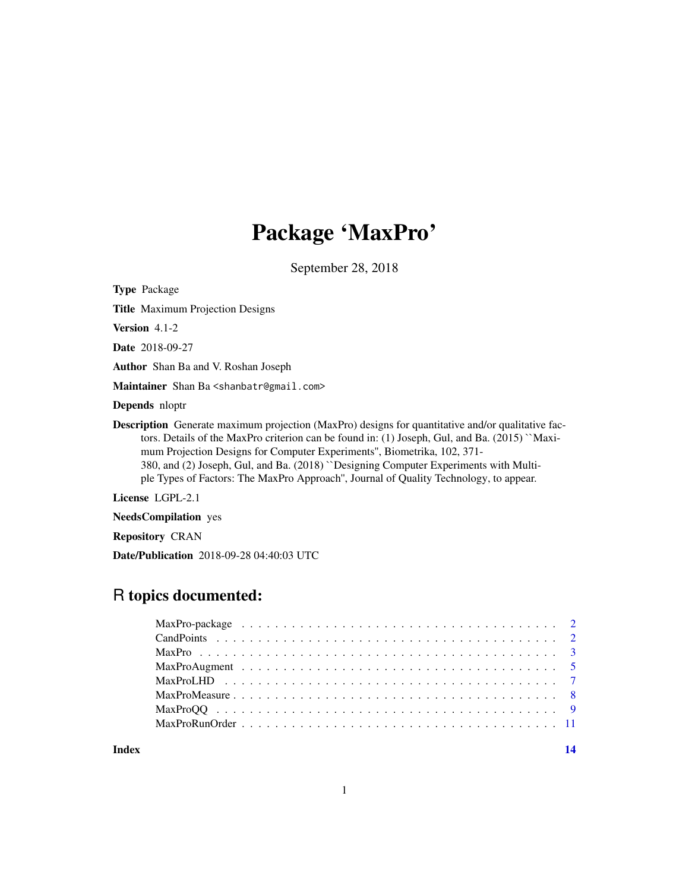## Package 'MaxPro'

September 28, 2018

Type Package

Title Maximum Projection Designs

Version 4.1-2

Date 2018-09-27

Author Shan Ba and V. Roshan Joseph

Maintainer Shan Ba<shanbatr@gmail.com>

Depends nloptr

Description Generate maximum projection (MaxPro) designs for quantitative and/or qualitative factors. Details of the MaxPro criterion can be found in: (1) Joseph, Gul, and Ba. (2015) ``Maximum Projection Designs for Computer Experiments'', Biometrika, 102, 371- 380, and (2) Joseph, Gul, and Ba. (2018) ``Designing Computer Experiments with Multiple Types of Factors: The MaxPro Approach'', Journal of Quality Technology, to appear.

License LGPL-2.1

NeedsCompilation yes

Repository CRAN

Date/Publication 2018-09-28 04:40:03 UTC

## R topics documented:

**Index** 2008 **[14](#page-13-0)** 

1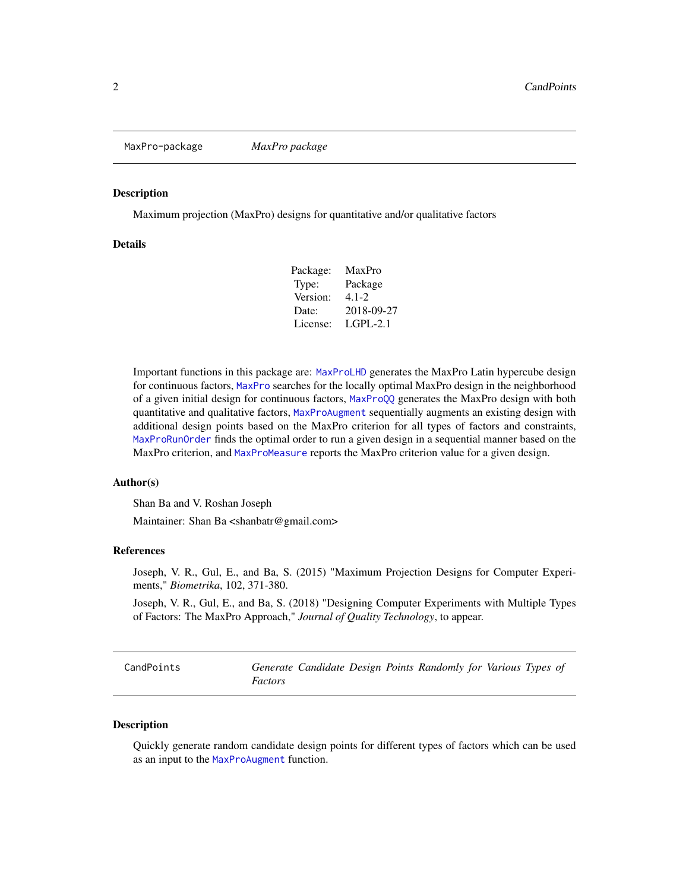<span id="page-1-0"></span>MaxPro-package *MaxPro package*

#### Description

Maximum projection (MaxPro) designs for quantitative and/or qualitative factors

## **Details**

| Package: | MaxPro     |
|----------|------------|
| Type:    | Package    |
| Version: | 4.1-2.     |
| Date:    | 2018-09-27 |
| License: | LGPL-2.1   |
|          |            |

Important functions in this package are: [MaxProLHD](#page-6-1) generates the MaxPro Latin hypercube design for continuous factors, [MaxPro](#page-2-1) searches for the locally optimal MaxPro design in the neighborhood of a given initial design for continuous factors, [MaxProQQ](#page-8-1) generates the MaxPro design with both quantitative and qualitative factors, [MaxProAugment](#page-4-1) sequentially augments an existing design with additional design points based on the MaxPro criterion for all types of factors and constraints, [MaxProRunOrder](#page-10-1) finds the optimal order to run a given design in a sequential manner based on the MaxPro criterion, and [MaxProMeasure](#page-7-1) reports the MaxPro criterion value for a given design.

#### Author(s)

Shan Ba and V. Roshan Joseph

Maintainer: Shan Ba <shanbatr@gmail.com>

## References

Joseph, V. R., Gul, E., and Ba, S. (2015) "Maximum Projection Designs for Computer Experiments," *Biometrika*, 102, 371-380.

Joseph, V. R., Gul, E., and Ba, S. (2018) "Designing Computer Experiments with Multiple Types of Factors: The MaxPro Approach," *Journal of Quality Technology*, to appear.

<span id="page-1-1"></span>

| CandPoints |                | Generate Candidate Design Points Randomly for Various Types of |  |  |  |  |
|------------|----------------|----------------------------------------------------------------|--|--|--|--|
|            | <i>Factors</i> |                                                                |  |  |  |  |

### **Description**

Quickly generate random candidate design points for different types of factors which can be used as an input to the [MaxProAugment](#page-4-1) function.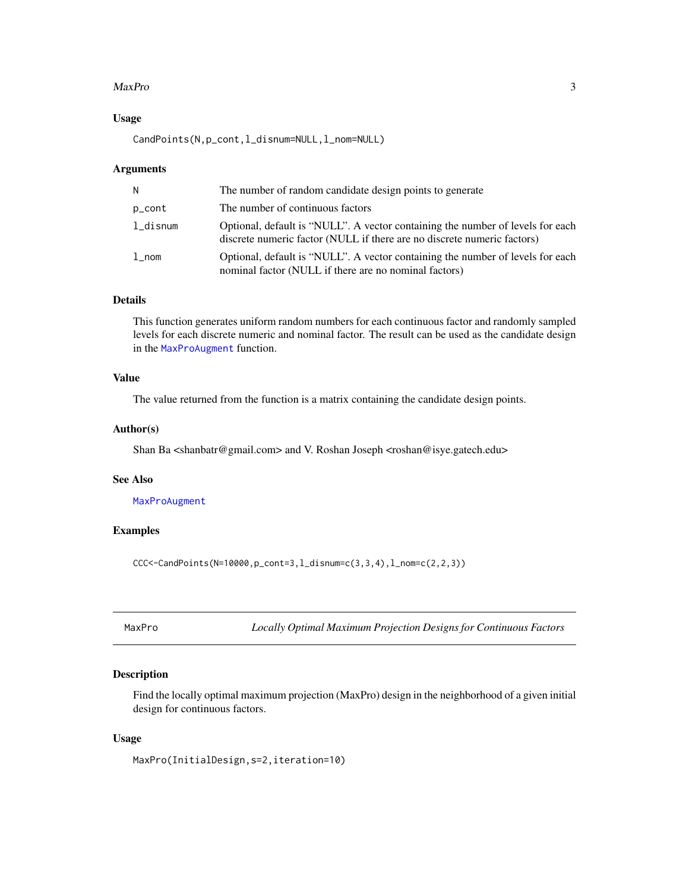#### <span id="page-2-0"></span>MaxPro 3

## Usage

CandPoints(N,p\_cont,l\_disnum=NULL,l\_nom=NULL)

#### Arguments

| N           | The number of random candidate design points to generate                                                                                                  |
|-------------|-----------------------------------------------------------------------------------------------------------------------------------------------------------|
| p_cont      | The number of continuous factors                                                                                                                          |
| $l$ _disnum | Optional, default is "NULL". A vector containing the number of levels for each<br>discrete numeric factor (NULL if there are no discrete numeric factors) |
| $1$ _nom    | Optional, default is "NULL". A vector containing the number of levels for each<br>nominal factor (NULL if there are no nominal factors)                   |

#### Details

This function generates uniform random numbers for each continuous factor and randomly sampled levels for each discrete numeric and nominal factor. The result can be used as the candidate design in the [MaxProAugment](#page-4-1) function.

## Value

The value returned from the function is a matrix containing the candidate design points.

#### Author(s)

Shan Ba <shanbatr@gmail.com> and V. Roshan Joseph <roshan@isye.gatech.edu>

## See Also

[MaxProAugment](#page-4-1)

### Examples

 $CC <$  -CandPoints(N=10000, p\_cont=3, l\_disnum=c(3,3,4), l\_nom=c(2,2,3))

<span id="page-2-1"></span>MaxPro *Locally Optimal Maximum Projection Designs for Continuous Factors*

## Description

Find the locally optimal maximum projection (MaxPro) design in the neighborhood of a given initial design for continuous factors.

#### Usage

MaxPro(InitialDesign,s=2,iteration=10)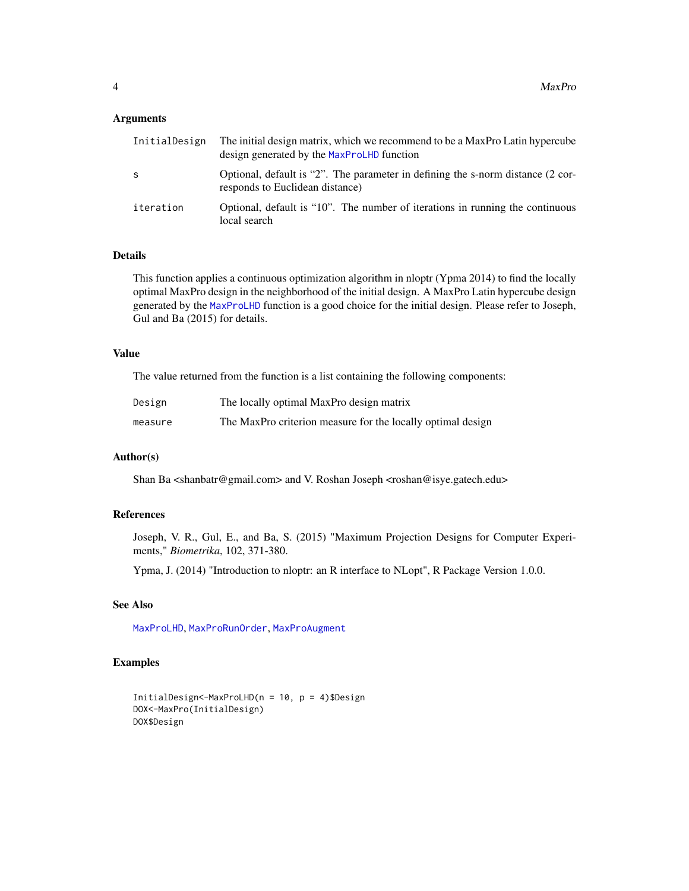#### <span id="page-3-0"></span>Arguments

| InitialDesign | The initial design matrix, which we recommend to be a MaxPro Latin hypercube<br>design generated by the MaxProLHD function |
|---------------|----------------------------------------------------------------------------------------------------------------------------|
| -S            | Optional, default is "2". The parameter in defining the s-norm distance (2 cor-<br>responds to Euclidean distance)         |
| iteration     | Optional, default is "10". The number of iterations in running the continuous<br>local search                              |

#### Details

This function applies a continuous optimization algorithm in nloptr (Ypma 2014) to find the locally optimal MaxPro design in the neighborhood of the initial design. A MaxPro Latin hypercube design generated by the [MaxProLHD](#page-6-1) function is a good choice for the initial design. Please refer to Joseph, Gul and Ba (2015) for details.

#### Value

The value returned from the function is a list containing the following components:

| Design  | The locally optimal MaxPro design matrix                    |
|---------|-------------------------------------------------------------|
| measure | The MaxPro criterion measure for the locally optimal design |

## Author(s)

Shan Ba <shanbatr@gmail.com> and V. Roshan Joseph <roshan@isye.gatech.edu>

## References

Joseph, V. R., Gul, E., and Ba, S. (2015) "Maximum Projection Designs for Computer Experiments," *Biometrika*, 102, 371-380.

Ypma, J. (2014) "Introduction to nloptr: an R interface to NLopt", R Package Version 1.0.0.

## See Also

[MaxProLHD](#page-6-1), [MaxProRunOrder](#page-10-1), [MaxProAugment](#page-4-1)

## Examples

```
InitialDesign<-MaxProLHD(n = 10, p = 4)$Design
DOX<-MaxPro(InitialDesign)
DOX$Design
```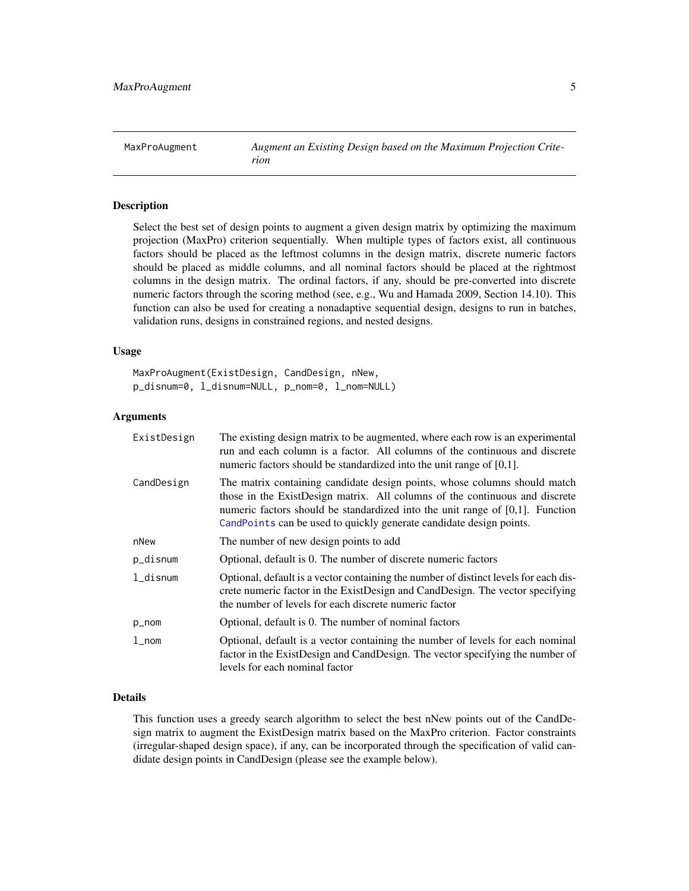<span id="page-4-1"></span><span id="page-4-0"></span>MaxProAugment *Augment an Existing Design based on the Maximum Projection Criterion*

## **Description**

Select the best set of design points to augment a given design matrix by optimizing the maximum projection (MaxPro) criterion sequentially. When multiple types of factors exist, all continuous factors should be placed as the leftmost columns in the design matrix, discrete numeric factors should be placed as middle columns, and all nominal factors should be placed at the rightmost columns in the design matrix. The ordinal factors, if any, should be pre-converted into discrete numeric factors through the scoring method (see, e.g., Wu and Hamada 2009, Section 14.10). This function can also be used for creating a nonadaptive sequential design, designs to run in batches, validation runs, designs in constrained regions, and nested designs.

#### Usage

MaxProAugment(ExistDesign, CandDesign, nNew, p\_disnum=0, l\_disnum=NULL, p\_nom=0, l\_nom=NULL)

#### **Arguments**

| ExistDesign | The existing design matrix to be augmented, where each row is an experimental<br>run and each column is a factor. All columns of the continuous and discrete<br>numeric factors should be standardized into the unit range of $[0,1]$ .                                                                             |
|-------------|---------------------------------------------------------------------------------------------------------------------------------------------------------------------------------------------------------------------------------------------------------------------------------------------------------------------|
| CandDesign  | The matrix containing candidate design points, whose columns should match<br>those in the ExistDesign matrix. All columns of the continuous and discrete<br>numeric factors should be standardized into the unit range of $[0,1]$ . Function<br>CandPoints can be used to quickly generate candidate design points. |
| nNew        | The number of new design points to add                                                                                                                                                                                                                                                                              |
| p_disnum    | Optional, default is 0. The number of discrete numeric factors                                                                                                                                                                                                                                                      |
| $1$ _disnum | Optional, default is a vector containing the number of distinct levels for each dis-<br>crete numeric factor in the ExistDesign and CandDesign. The vector specifying<br>the number of levels for each discrete numeric factor                                                                                      |
| p_nom       | Optional, default is 0. The number of nominal factors                                                                                                                                                                                                                                                               |
| $1$ _nom    | Optional, default is a vector containing the number of levels for each nominal<br>factor in the ExistDesign and CandDesign. The vector specifying the number of<br>levels for each nominal factor                                                                                                                   |

#### Details

This function uses a greedy search algorithm to select the best nNew points out of the CandDesign matrix to augment the ExistDesign matrix based on the MaxPro criterion. Factor constraints (irregular-shaped design space), if any, can be incorporated through the specification of valid candidate design points in CandDesign (please see the example below).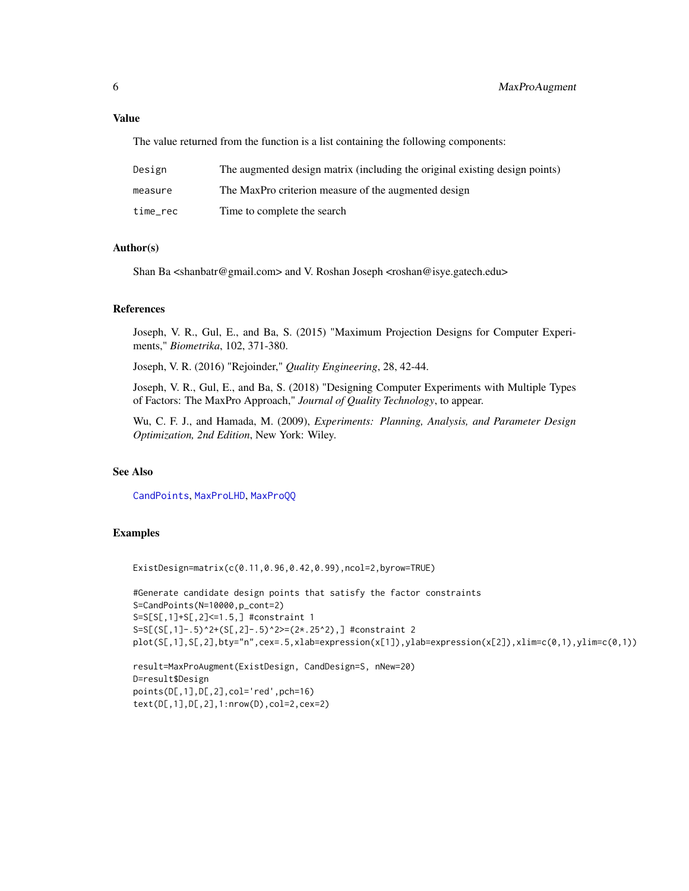## <span id="page-5-0"></span>Value

The value returned from the function is a list containing the following components:

| Design   | The augmented design matrix (including the original existing design points) |
|----------|-----------------------------------------------------------------------------|
| measure  | The MaxPro criterion measure of the augmented design                        |
| time_rec | Time to complete the search                                                 |

## Author(s)

Shan Ba <shanbatr@gmail.com> and V. Roshan Joseph <roshan@isye.gatech.edu>

#### References

Joseph, V. R., Gul, E., and Ba, S. (2015) "Maximum Projection Designs for Computer Experiments," *Biometrika*, 102, 371-380.

Joseph, V. R. (2016) "Rejoinder," *Quality Engineering*, 28, 42-44.

Joseph, V. R., Gul, E., and Ba, S. (2018) "Designing Computer Experiments with Multiple Types of Factors: The MaxPro Approach," *Journal of Quality Technology*, to appear.

Wu, C. F. J., and Hamada, M. (2009), *Experiments: Planning, Analysis, and Parameter Design Optimization, 2nd Edition*, New York: Wiley.

#### See Also

[CandPoints](#page-1-1), [MaxProLHD](#page-6-1), [MaxProQQ](#page-8-1)

## Examples

ExistDesign=matrix(c(0.11,0.96,0.42,0.99),ncol=2,byrow=TRUE)

```
#Generate candidate design points that satisfy the factor constraints
S=CandPoints(N=10000,p_cont=2)
S=S[S[,1]+S[,2]<=1.5,] #constraint 1
S=S[(S[,1]-.5)^2+(S[,2]-.5)^2>=(2*.25^2),] #constraint 2
plot(S[,1],S[,2],bty="n",cex=.5,xlab=expression(x[1]),ylab=expression(x[2]),xlim=c(0,1),ylim=c(0,1))
```

```
result=MaxProAugment(ExistDesign, CandDesign=S, nNew=20)
D=result$Design
points(D[,1],D[,2],col='red',pch=16)
text(D[,1],D[,2],1:nrow(D),col=2,cex=2)
```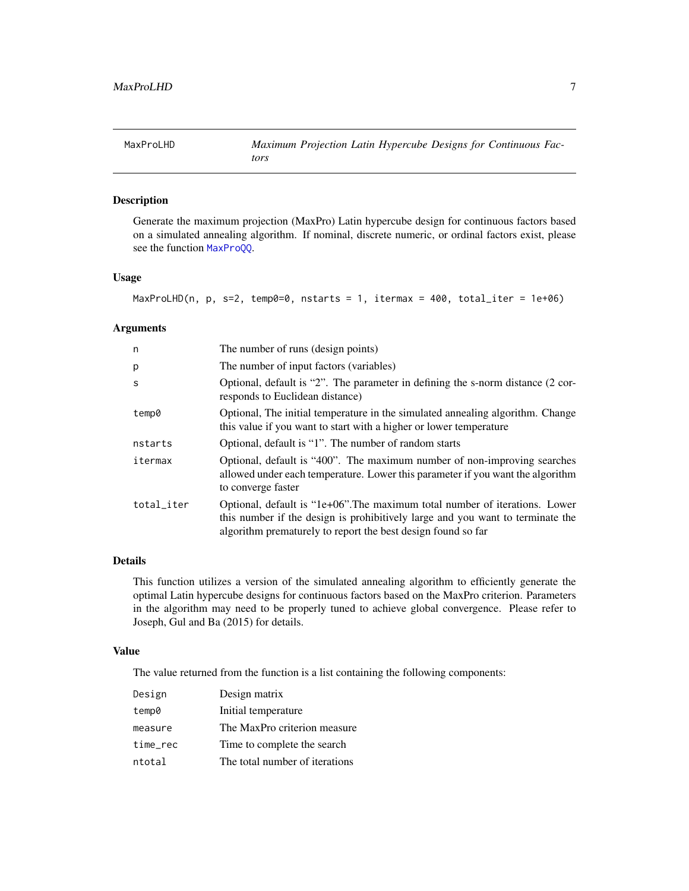## <span id="page-6-1"></span><span id="page-6-0"></span>Description

Generate the maximum projection (MaxPro) Latin hypercube design for continuous factors based on a simulated annealing algorithm. If nominal, discrete numeric, or ordinal factors exist, please see the function [MaxProQQ](#page-8-1).

## Usage

MaxProLHD(n, p, s=2, temp0=0, nstarts = 1, itermax = 400, total\_iter = 1e+06)

## Arguments

| n          | The number of runs (design points)                                                                                                                                                                                            |
|------------|-------------------------------------------------------------------------------------------------------------------------------------------------------------------------------------------------------------------------------|
| p          | The number of input factors (variables)                                                                                                                                                                                       |
| S          | Optional, default is "2". The parameter in defining the s-norm distance (2 cor-<br>responds to Euclidean distance)                                                                                                            |
| temp0      | Optional, The initial temperature in the simulated annealing algorithm. Change<br>this value if you want to start with a higher or lower temperature                                                                          |
| nstarts    | Optional, default is "1". The number of random starts                                                                                                                                                                         |
| itermax    | Optional, default is "400". The maximum number of non-improving searches<br>allowed under each temperature. Lower this parameter if you want the algorithm<br>to converge faster                                              |
| total_iter | Optional, default is "1e+06". The maximum total number of iterations. Lower<br>this number if the design is prohibitively large and you want to terminate the<br>algorithm prematurely to report the best design found so far |

#### Details

This function utilizes a version of the simulated annealing algorithm to efficiently generate the optimal Latin hypercube designs for continuous factors based on the MaxPro criterion. Parameters in the algorithm may need to be properly tuned to achieve global convergence. Please refer to Joseph, Gul and Ba (2015) for details.

## Value

The value returned from the function is a list containing the following components:

| Design   | Design matrix                  |
|----------|--------------------------------|
| temp0    | Initial temperature            |
| measure  | The MaxPro criterion measure   |
| time_rec | Time to complete the search    |
| ntotal   | The total number of iterations |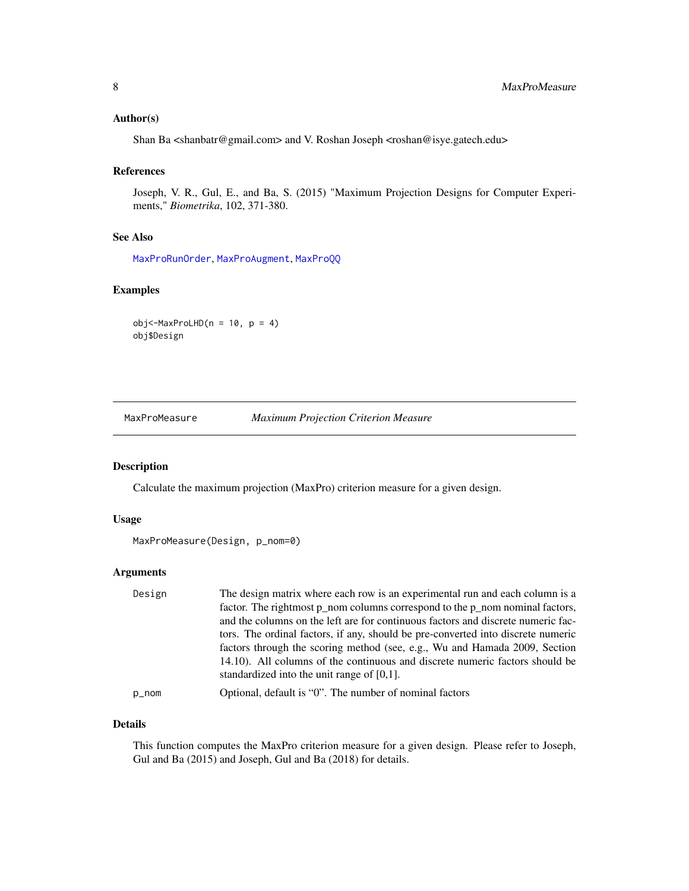#### <span id="page-7-0"></span>Author(s)

Shan Ba <shanbatr@gmail.com> and V. Roshan Joseph <roshan@isye.gatech.edu>

#### References

Joseph, V. R., Gul, E., and Ba, S. (2015) "Maximum Projection Designs for Computer Experiments," *Biometrika*, 102, 371-380.

#### See Also

[MaxProRunOrder](#page-10-1), [MaxProAugment](#page-4-1), [MaxProQQ](#page-8-1)

#### Examples

 $obj < -MaxProLHD(n = 10, p = 4)$ obj\$Design

<span id="page-7-1"></span>MaxProMeasure *Maximum Projection Criterion Measure*

#### Description

Calculate the maximum projection (MaxPro) criterion measure for a given design.

#### Usage

```
MaxProMeasure(Design, p_nom=0)
```
#### Arguments

| Design | The design matrix where each row is an experimental run and each column is a     |
|--------|----------------------------------------------------------------------------------|
|        | factor. The rightmost p_nom columns correspond to the p_nom nominal factors,     |
|        | and the columns on the left are for continuous factors and discrete numeric fac- |
|        | tors. The ordinal factors, if any, should be pre-converted into discrete numeric |
|        | factors through the scoring method (see, e.g., Wu and Hamada 2009, Section       |
|        | 14.10). All columns of the continuous and discrete numeric factors should be     |
|        | standardized into the unit range of $[0,1]$ .                                    |
| p_nom  | Optional, default is "0". The number of nominal factors                          |

#### Details

This function computes the MaxPro criterion measure for a given design. Please refer to Joseph, Gul and Ba (2015) and Joseph, Gul and Ba (2018) for details.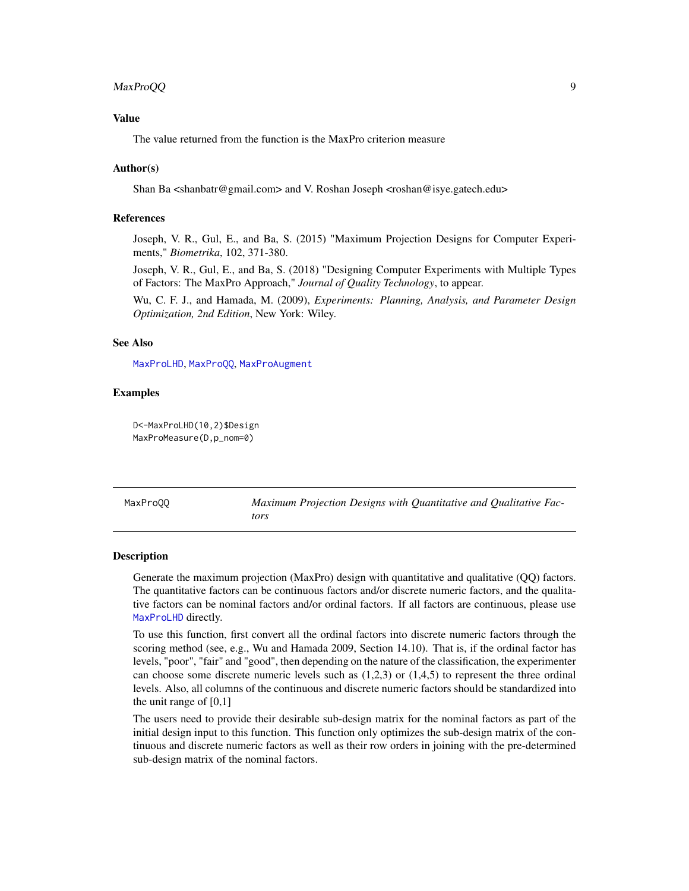## <span id="page-8-0"></span>MaxProQQ 9

## Value

The value returned from the function is the MaxPro criterion measure

#### Author(s)

Shan Ba <shanbatr@gmail.com> and V. Roshan Joseph <roshan@isye.gatech.edu>

#### References

Joseph, V. R., Gul, E., and Ba, S. (2015) "Maximum Projection Designs for Computer Experiments," *Biometrika*, 102, 371-380.

Joseph, V. R., Gul, E., and Ba, S. (2018) "Designing Computer Experiments with Multiple Types of Factors: The MaxPro Approach," *Journal of Quality Technology*, to appear.

Wu, C. F. J., and Hamada, M. (2009), *Experiments: Planning, Analysis, and Parameter Design Optimization, 2nd Edition*, New York: Wiley.

## See Also

[MaxProLHD](#page-6-1), [MaxProQQ](#page-8-1), [MaxProAugment](#page-4-1)

#### Examples

D<-MaxProLHD(10,2)\$Design MaxProMeasure(D,p\_nom=0)

<span id="page-8-1"></span>MaxProQQ *Maximum Projection Designs with Quantitative and Qualitative Factors*

### Description

Generate the maximum projection (MaxPro) design with quantitative and qualitative (QQ) factors. The quantitative factors can be continuous factors and/or discrete numeric factors, and the qualitative factors can be nominal factors and/or ordinal factors. If all factors are continuous, please use [MaxProLHD](#page-6-1) directly.

To use this function, first convert all the ordinal factors into discrete numeric factors through the scoring method (see, e.g., Wu and Hamada 2009, Section 14.10). That is, if the ordinal factor has levels, "poor", "fair" and "good", then depending on the nature of the classification, the experimenter can choose some discrete numeric levels such as  $(1,2,3)$  or  $(1,4,5)$  to represent the three ordinal levels. Also, all columns of the continuous and discrete numeric factors should be standardized into the unit range of  $[0,1]$ 

The users need to provide their desirable sub-design matrix for the nominal factors as part of the initial design input to this function. This function only optimizes the sub-design matrix of the continuous and discrete numeric factors as well as their row orders in joining with the pre-determined sub-design matrix of the nominal factors.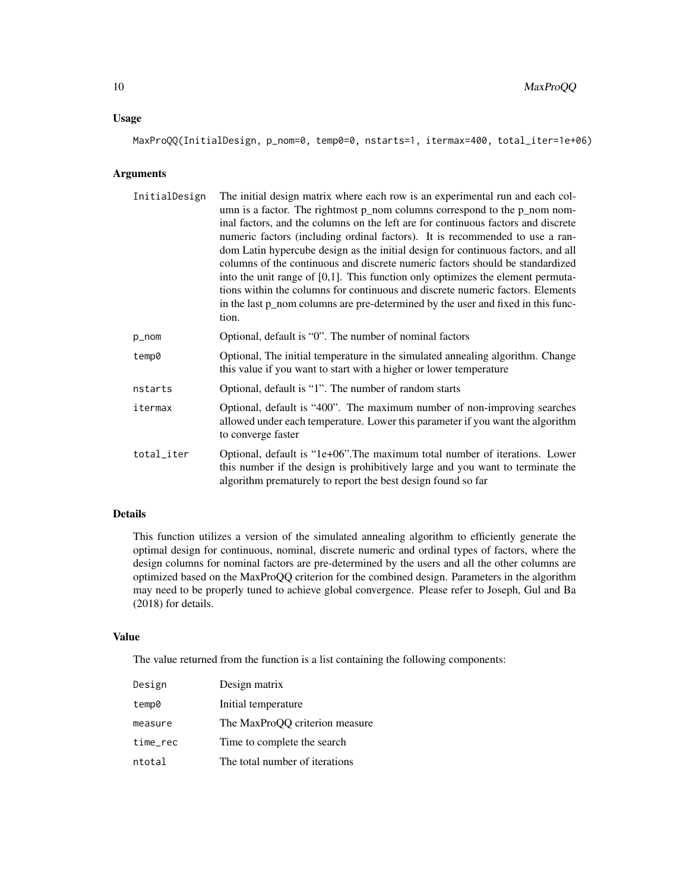## Usage

MaxProQQ(InitialDesign, p\_nom=0, temp0=0, nstarts=1, itermax=400, total\_iter=1e+06)

## Arguments

| InitialDesign | The initial design matrix where each row is an experimental run and each col-<br>umn is a factor. The rightmost p_nom columns correspond to the p_nom nom-<br>inal factors, and the columns on the left are for continuous factors and discrete<br>numeric factors (including ordinal factors). It is recommended to use a ran-<br>dom Latin hypercube design as the initial design for continuous factors, and all<br>columns of the continuous and discrete numeric factors should be standardized<br>into the unit range of $[0,1]$ . This function only optimizes the element permuta-<br>tions within the columns for continuous and discrete numeric factors. Elements<br>in the last p_nom columns are pre-determined by the user and fixed in this func-<br>tion. |
|---------------|---------------------------------------------------------------------------------------------------------------------------------------------------------------------------------------------------------------------------------------------------------------------------------------------------------------------------------------------------------------------------------------------------------------------------------------------------------------------------------------------------------------------------------------------------------------------------------------------------------------------------------------------------------------------------------------------------------------------------------------------------------------------------|
| p_nom         | Optional, default is "0". The number of nominal factors                                                                                                                                                                                                                                                                                                                                                                                                                                                                                                                                                                                                                                                                                                                   |
| temp0         | Optional, The initial temperature in the simulated annealing algorithm. Change<br>this value if you want to start with a higher or lower temperature                                                                                                                                                                                                                                                                                                                                                                                                                                                                                                                                                                                                                      |
| nstarts       | Optional, default is "1". The number of random starts                                                                                                                                                                                                                                                                                                                                                                                                                                                                                                                                                                                                                                                                                                                     |
| itermax       | Optional, default is "400". The maximum number of non-improving searches<br>allowed under each temperature. Lower this parameter if you want the algorithm<br>to converge faster                                                                                                                                                                                                                                                                                                                                                                                                                                                                                                                                                                                          |
| total_iter    | Optional, default is "1e+06". The maximum total number of iterations. Lower<br>this number if the design is prohibitively large and you want to terminate the<br>algorithm prematurely to report the best design found so far                                                                                                                                                                                                                                                                                                                                                                                                                                                                                                                                             |

## Details

This function utilizes a version of the simulated annealing algorithm to efficiently generate the optimal design for continuous, nominal, discrete numeric and ordinal types of factors, where the design columns for nominal factors are pre-determined by the users and all the other columns are optimized based on the MaxProQQ criterion for the combined design. Parameters in the algorithm may need to be properly tuned to achieve global convergence. Please refer to Joseph, Gul and Ba (2018) for details.

## Value

The value returned from the function is a list containing the following components:

| Design   | Design matrix                  |
|----------|--------------------------------|
| temp0    | Initial temperature            |
| measure  | The MaxProQQ criterion measure |
| time_rec | Time to complete the search    |
| ntotal   | The total number of iterations |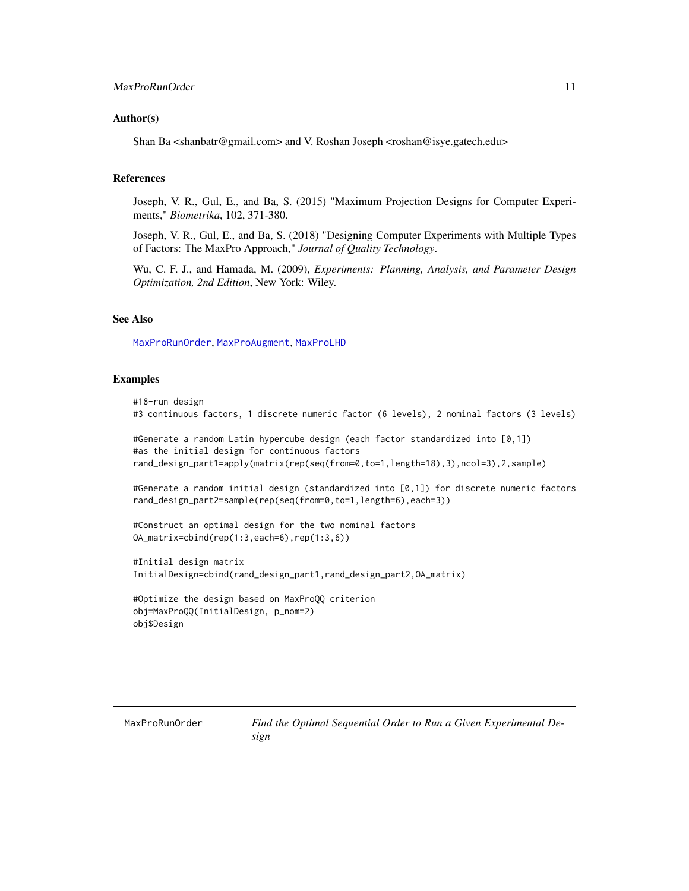#### <span id="page-10-0"></span>Author(s)

Shan Ba <shanbatr@gmail.com> and V. Roshan Joseph <roshan@isye.gatech.edu>

#### References

Joseph, V. R., Gul, E., and Ba, S. (2015) "Maximum Projection Designs for Computer Experiments," *Biometrika*, 102, 371-380.

Joseph, V. R., Gul, E., and Ba, S. (2018) "Designing Computer Experiments with Multiple Types of Factors: The MaxPro Approach," *Journal of Quality Technology*.

Wu, C. F. J., and Hamada, M. (2009), *Experiments: Planning, Analysis, and Parameter Design Optimization, 2nd Edition*, New York: Wiley.

#### See Also

[MaxProRunOrder](#page-10-1), [MaxProAugment](#page-4-1), [MaxProLHD](#page-6-1)

#### Examples

#18-run design #3 continuous factors, 1 discrete numeric factor (6 levels), 2 nominal factors (3 levels)

#Generate a random Latin hypercube design (each factor standardized into [0,1]) #as the initial design for continuous factors rand\_design\_part1=apply(matrix(rep(seq(from=0,to=1,length=18),3),ncol=3),2,sample)

#Generate a random initial design (standardized into [0,1]) for discrete numeric factors rand\_design\_part2=sample(rep(seq(from=0,to=1,length=6),each=3))

#Construct an optimal design for the two nominal factors OA\_matrix=cbind(rep(1:3,each=6),rep(1:3,6))

#Initial design matrix InitialDesign=cbind(rand\_design\_part1,rand\_design\_part2,OA\_matrix)

```
#Optimize the design based on MaxProQQ criterion
obj=MaxProQQ(InitialDesign, p_nom=2)
obj$Design
```
<span id="page-10-1"></span>MaxProRunOrder *Find the Optimal Sequential Order to Run a Given Experimental Design*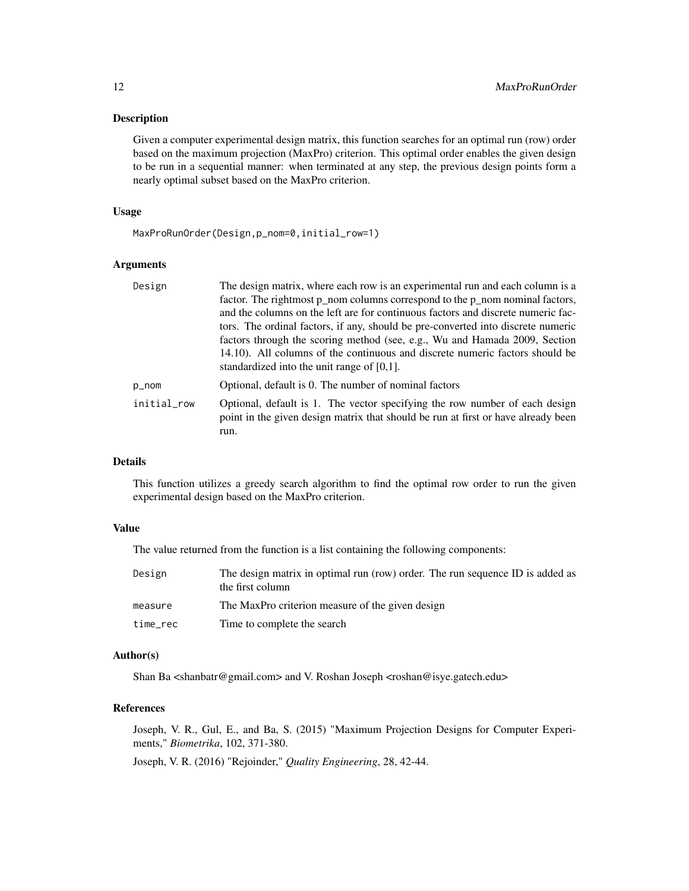#### Description

Given a computer experimental design matrix, this function searches for an optimal run (row) order based on the maximum projection (MaxPro) criterion. This optimal order enables the given design to be run in a sequential manner: when terminated at any step, the previous design points form a nearly optimal subset based on the MaxPro criterion.

## Usage

MaxProRunOrder(Design,p\_nom=0,initial\_row=1)

## Arguments

| Design      | The design matrix, where each row is an experimental run and each column is a<br>factor. The rightmost p_nom columns correspond to the p_nom nominal factors,            |
|-------------|--------------------------------------------------------------------------------------------------------------------------------------------------------------------------|
|             | and the columns on the left are for continuous factors and discrete numeric fac-                                                                                         |
|             | tors. The ordinal factors, if any, should be pre-converted into discrete numeric                                                                                         |
|             | factors through the scoring method (see, e.g., Wu and Hamada 2009, Section                                                                                               |
|             | 14.10). All columns of the continuous and discrete numeric factors should be<br>standardized into the unit range of $[0,1]$ .                                            |
| p_nom       | Optional, default is 0. The number of nominal factors                                                                                                                    |
| initial_row | Optional, default is 1. The vector specifying the row number of each design<br>point in the given design matrix that should be run at first or have already been<br>run. |
|             |                                                                                                                                                                          |

## Details

This function utilizes a greedy search algorithm to find the optimal row order to run the given experimental design based on the MaxPro criterion.

#### Value

The value returned from the function is a list containing the following components:

| Design   | The design matrix in optimal run (row) order. The run sequence ID is added as<br>the first column |
|----------|---------------------------------------------------------------------------------------------------|
| measure  | The MaxPro criterion measure of the given design                                                  |
| time_rec | Time to complete the search                                                                       |

### Author(s)

Shan Ba <shanbatr@gmail.com> and V. Roshan Joseph <roshan@isye.gatech.edu>

## References

Joseph, V. R., Gul, E., and Ba, S. (2015) "Maximum Projection Designs for Computer Experiments," *Biometrika*, 102, 371-380.

Joseph, V. R. (2016) "Rejoinder," *Quality Engineering*, 28, 42-44.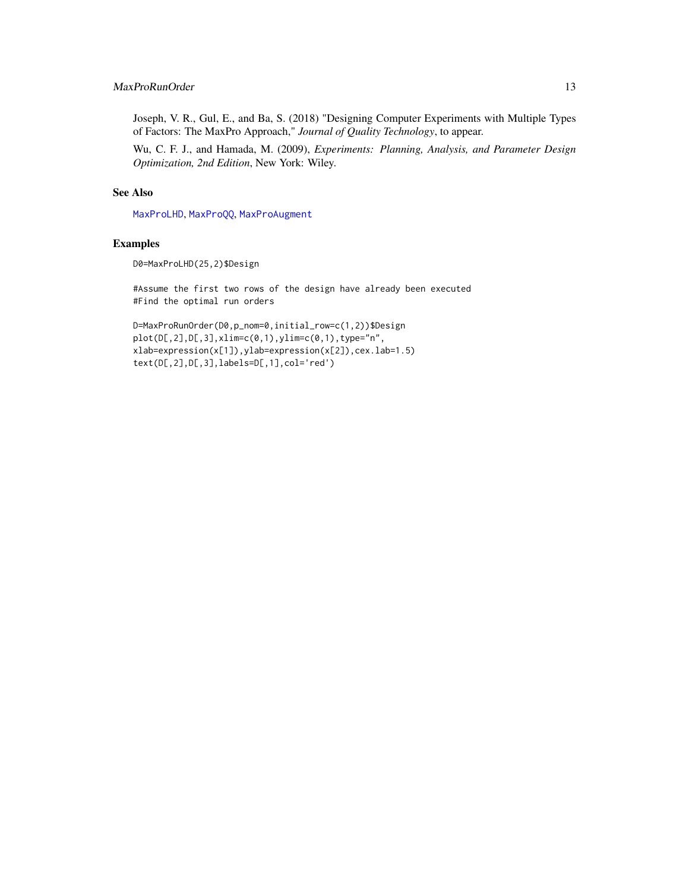## <span id="page-12-0"></span>MaxProRunOrder 13

Joseph, V. R., Gul, E., and Ba, S. (2018) "Designing Computer Experiments with Multiple Types of Factors: The MaxPro Approach," *Journal of Quality Technology*, to appear.

Wu, C. F. J., and Hamada, M. (2009), *Experiments: Planning, Analysis, and Parameter Design Optimization, 2nd Edition*, New York: Wiley.

#### See Also

[MaxProLHD](#page-6-1), [MaxProQQ](#page-8-1), [MaxProAugment](#page-4-1)

#### Examples

D0=MaxProLHD(25,2)\$Design

#Assume the first two rows of the design have already been executed #Find the optimal run orders

```
D=MaxProRunOrder(D0,p_nom=0,initial_row=c(1,2))$Design
plot(D[, 2], D[, 3], xlim=c(0,1), ylim=c(0,1), type="n",xlab=expression(x[1]),ylab=expression(x[2]),cex.lab=1.5)
text(D[,2],D[,3],labels=D[,1],col='red')
```